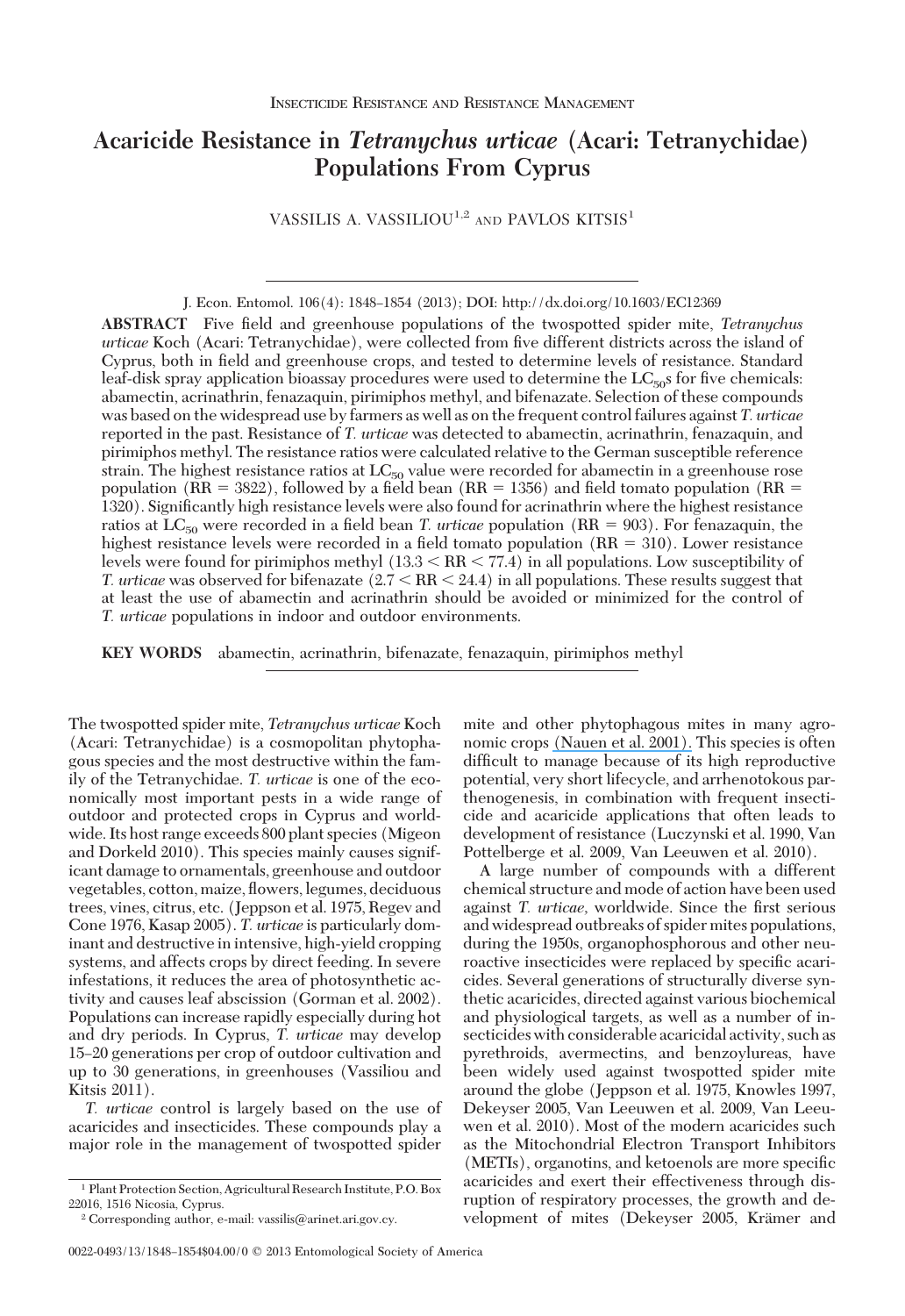# **Acaricide Resistance in** *Tetranychus urticae* **(Acari: Tetranychidae) Populations From Cyprus**

VASSILIS A. VASSILIOU<sup>1,2</sup> AND PAVLOS KITSIS<sup>1</sup>

J. Econ. Entomol. 106(4): 1848–1854 (2013); DOI: http://dx.doi.org/10.1603/EC12369 ABSTRACT Five field and greenhouse populations of the twospotted spider mite, *Tetranychus urticae* Koch (Acari: Tetranychidae), were collected from five different districts across the island of Cyprus, both in field and greenhouse crops, and tested to determine levels of resistance. Standard leaf-disk spray application bioassay procedures were used to determine the  $LC_{50}$ s for five chemicals: abamectin, acrinathrin, fenazaquin, pirimiphos methyl, and bifenazate. Selection of these compounds was based on the widespread use by farmers as well as on the frequent control failures against *T. urticae* reported in the past. Resistance of *T. urticae* was detected to abamectin, acrinathrin, fenazaquin, and pirimiphos methyl. The resistance ratios were calculated relative to the German susceptible reference strain. The highest resistance ratios at LC<sub>50</sub> value were recorded for abamectin in a greenhouse rose population ( $RR = 3822$ ), followed by a field bean ( $RR = 1356$ ) and field tomato population ( $RR = 1356$ ) 1320). Significantly high resistance levels were also found for acrinathrin where the highest resistance ratios at  $LC_{50}$  were recorded in a field bean *T. urticae* population ( $RR = 903$ ). For fenazaquin, the highest resistance levels were recorded in a field tomato population  $(RR = 310)$ . Lower resistance levels were found for pirimiphos methyl  $(13.3 < RR < 77.4)$  in all populations. Low susceptibility of *T. urticae* was observed for bifenazate  $(2.7 < RR < 24.4)$  in all populations. These results suggest that at least the use of abamectin and acrinathrin should be avoided or minimized for the control of

*T. urticae* populations in indoor and outdoor environments.

**KEY WORDS** abamectin, acrinathrin, bifenazate, fenazaquin, pirimiphos methyl

The twospotted spider mite, *Tetranychus urticae* Koch (Acari: Tetranychidae) is a cosmopolitan phytophagous species and the most destructive within the family of the Tetranychidae. *T. urticae* is one of the economically most important pests in a wide range of outdoor and protected crops in Cyprus and worldwide. Its host range exceeds 800 plant species (Migeon and Dorkeld 2010). This species mainly causes significant damage to ornamentals, greenhouse and outdoor vegetables, cotton, maize, ßowers,legumes, deciduous trees, vines, citrus, etc. (Jeppson et al. 1975, Regev and Cone 1976, Kasap 2005). *T. urticae* is particularly dominant and destructive in intensive, high-yield cropping systems, and affects crops by direct feeding. In severe infestations, it reduces the area of photosynthetic activity and causes leaf abscission (Gorman et al. 2002). Populations can increase rapidly especially during hot and dry periods. In Cyprus, *T. urticae* may develop 15Ð20 generations per crop of outdoor cultivation and up to 30 generations, in greenhouses (Vassiliou and Kitsis 2011).

*T. urticae* control is largely based on the use of acaricides and insecticides. These compounds play a major role in the management of twospotted spider mite and other phytophagous mites in many agronomic crops [\(Nauen et al. 2001\).](https://www.researchgate.net/publication/11885532_Acaricide_toxicity_and_resistance_in_larvae_of_different_strains_of_Tetranychus_urticae_and_Panonychus_ulmi_Acari_Tetranychidae_Pest_Manag_Sci?el=1_x_8&enrichId=rgreq-f5c99a73-d917-4e1d-917d-539670bbadc0&enrichSource=Y292ZXJQYWdlOzI1NjQ4ODM2NztBUzo5NzY3Nzc4NjIyMjYwMkAxNDAwMjk5NjA3ODUy) This species is often difficult to manage because of its high reproductive potential, very short lifecycle, and arrhenotokous parthenogenesis, in combination with frequent insecticide and acaricide applications that often leads to development of resistance (Luczynski et al. 1990, Van Pottelberge et al. 2009, Van Leeuwen et al. 2010).

A large number of compounds with a different chemical structure and mode of action have been used against *T. urticae*, worldwide. Since the first serious and widespread outbreaks of spider mites populations, during the 1950s, organophosphorous and other neuroactive insecticides were replaced by specific acaricides. Several generations of structurally diverse synthetic acaricides, directed against various biochemical and physiological targets, as well as a number of insecticides with considerable acaricidal activity, such as pyrethroids, avermectins, and benzoylureas, have been widely used against twospotted spider mite around the globe (Jeppson et al. 1975, Knowles 1997, Dekeyser 2005, Van Leeuwen et al. 2009, Van Leeuwen et al. 2010). Most of the modern acaricides such as the Mitochondrial Electron Transport Inhibitors (METIs), organotins, and ketoenols are more specific acaricides and exert their effectiveness through disruption of respiratory processes, the growth and development of mites (Dekeyser 2005, Krämer and

<sup>1</sup> Plant Protection Section, Agricultural Research Institute, P.O. Box 22016, 1516 Nicosia, Cyprus.

<sup>2</sup> Corresponding author, e-mail: vassilis@arinet.ari.gov.cy.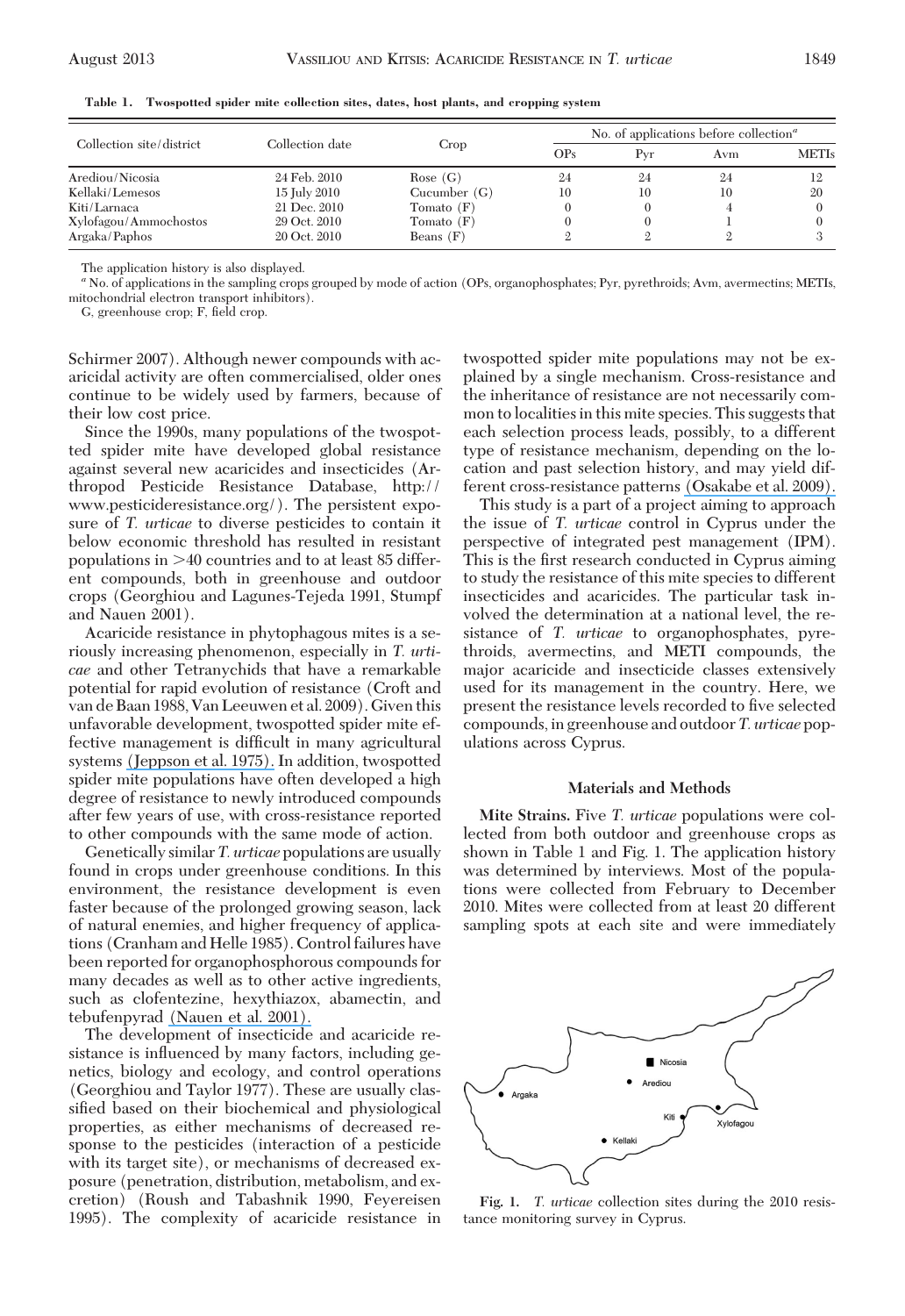| Collection site/district | Collection date | Crop           | No. of applications before collection <sup><math>a</math></sup> |     |     |              |
|--------------------------|-----------------|----------------|-----------------------------------------------------------------|-----|-----|--------------|
|                          |                 |                | <b>OPs</b>                                                      | Pvr | Avm | <b>METIs</b> |
| Arediou/Nicosia          | 24 Feb. 2010    | Rose $(G)$     | 24                                                              | 24  | 24  | 12           |
| Kellaki/Lemesos          | 15 July 2010    | Cucumber $(G)$ | 10                                                              | 10  | 10  | 20           |
| Kiti/Larnaca             | 21 Dec. 2010    | Tomato $(F)$   |                                                                 |     |     |              |
| Xylofagou/Ammochostos    | 29 Oct. 2010    | Tomato $(F)$   |                                                                 |     |     |              |
| Argaka/Paphos            | 20 Oct. 2010    | Beans $(F)$    |                                                                 |     |     |              |

**Table 1. Twospotted spider mite collection sites, dates, host plants, and cropping system**

The application history is also displayed.

*<sup>a</sup>* No. of applications in the sampling crops grouped by mode of action (OPs, organophosphates; Pyr, pyrethroids; Avm, avermectins; METIs, mitochondrial electron transport inhibitors).

G, greenhouse crop; F, field crop.

Schirmer 2007). Although newer compounds with acaricidal activity are often commercialised, older ones continue to be widely used by farmers, because of their low cost price.

Since the 1990s, many populations of the twospotted spider mite have developed global resistance against several new acaricides and insecticides (Arthropod Pesticide Resistance Database, http:// www.pesticideresistance.org/). The persistent exposure of *T. urticae* to diverse pesticides to contain it below economic threshold has resulted in resistant populations in 40 countries and to at least 85 different compounds, both in greenhouse and outdoor crops (Georghiou and Lagunes-Tejeda 1991, Stumpf and Nauen 2001).

Acaricide resistance in phytophagous mites is a seriously increasing phenomenon, especially in *T. urticae* and other Tetranychids that have a remarkable potential for rapid evolution of resistance (Croft and van de Baan 1988, Van Leeuwen et al. 2009). Given this unfavorable development, twospotted spider mite effective management is difficult in many agricultural systems [\(Jeppson et al. 1975\).](https://www.researchgate.net/publication/37873812_Mites_Injurious_To_Economic_Plants?el=1_x_8&enrichId=rgreq-f5c99a73-d917-4e1d-917d-539670bbadc0&enrichSource=Y292ZXJQYWdlOzI1NjQ4ODM2NztBUzo5NzY3Nzc4NjIyMjYwMkAxNDAwMjk5NjA3ODUy) In addition, twospotted spider mite populations have often developed a high degree of resistance to newly introduced compounds after few years of use, with cross-resistance reported to other compounds with the same mode of action.

Genetically similar*T. urticae* populations are usually found in crops under greenhouse conditions. In this environment, the resistance development is even faster because of the prolonged growing season, lack of natural enemies, and higher frequency of applications (Cranham and Helle 1985). Control failures have been reported for organophosphorous compounds for many decades as well as to other active ingredients, such as clofentezine, hexythiazox, abamectin, and tebufenpyrad [\(Nauen et al. 2001\).](https://www.researchgate.net/publication/11885532_Acaricide_toxicity_and_resistance_in_larvae_of_different_strains_of_Tetranychus_urticae_and_Panonychus_ulmi_Acari_Tetranychidae_Pest_Manag_Sci?el=1_x_8&enrichId=rgreq-f5c99a73-d917-4e1d-917d-539670bbadc0&enrichSource=Y292ZXJQYWdlOzI1NjQ4ODM2NztBUzo5NzY3Nzc4NjIyMjYwMkAxNDAwMjk5NjA3ODUy)

The development of insecticide and acaricide resistance is influenced by many factors, including genetics, biology and ecology, and control operations (Georghiou and Taylor 1977). These are usually classified based on their biochemical and physiological properties, as either mechanisms of decreased response to the pesticides (interaction of a pesticide with its target site), or mechanisms of decreased exposure (penetration, distribution, metabolism, and excretion) (Roush and Tabashnik 1990, Feyereisen 1995). The complexity of acaricide resistance in

twospotted spider mite populations may not be explained by a single mechanism. Cross-resistance and the inheritance of resistance are not necessarily common to localities in this mite species. This suggests that each selection process leads, possibly, to a different type of resistance mechanism, depending on the location and past selection history, and may yield different cross-resistance patterns [\(Osakabe et al. 2009\).](https://www.researchgate.net/publication/46262411_Evolutionary_Aspects_of_Acaricide-Resistance_Development_in_Spider_Mites?el=1_x_8&enrichId=rgreq-f5c99a73-d917-4e1d-917d-539670bbadc0&enrichSource=Y292ZXJQYWdlOzI1NjQ4ODM2NztBUzo5NzY3Nzc4NjIyMjYwMkAxNDAwMjk5NjA3ODUy)

This study is a part of a project aiming to approach the issue of *T. urticae* control in Cyprus under the perspective of integrated pest management (IPM). This is the first research conducted in Cyprus aiming to study the resistance of this mite species to different insecticides and acaricides. The particular task involved the determination at a national level, the resistance of *T. urticae* to organophosphates, pyrethroids, avermectins, and METI compounds, the major acaricide and insecticide classes extensively used for its management in the country. Here, we present the resistance levels recorded to five selected compounds,in greenhouse and outdoor*T. urticae* populations across Cyprus.

## **Materials and Methods**

**Mite Strains.** Five *T. urticae* populations were collected from both outdoor and greenhouse crops as shown in Table 1 and Fig. 1. The application history was determined by interviews. Most of the populations were collected from February to December 2010. Mites were collected from at least 20 different sampling spots at each site and were immediately



**Fig. 1.** *T. urticae* collection sites during the 2010 resistance monitoring survey in Cyprus.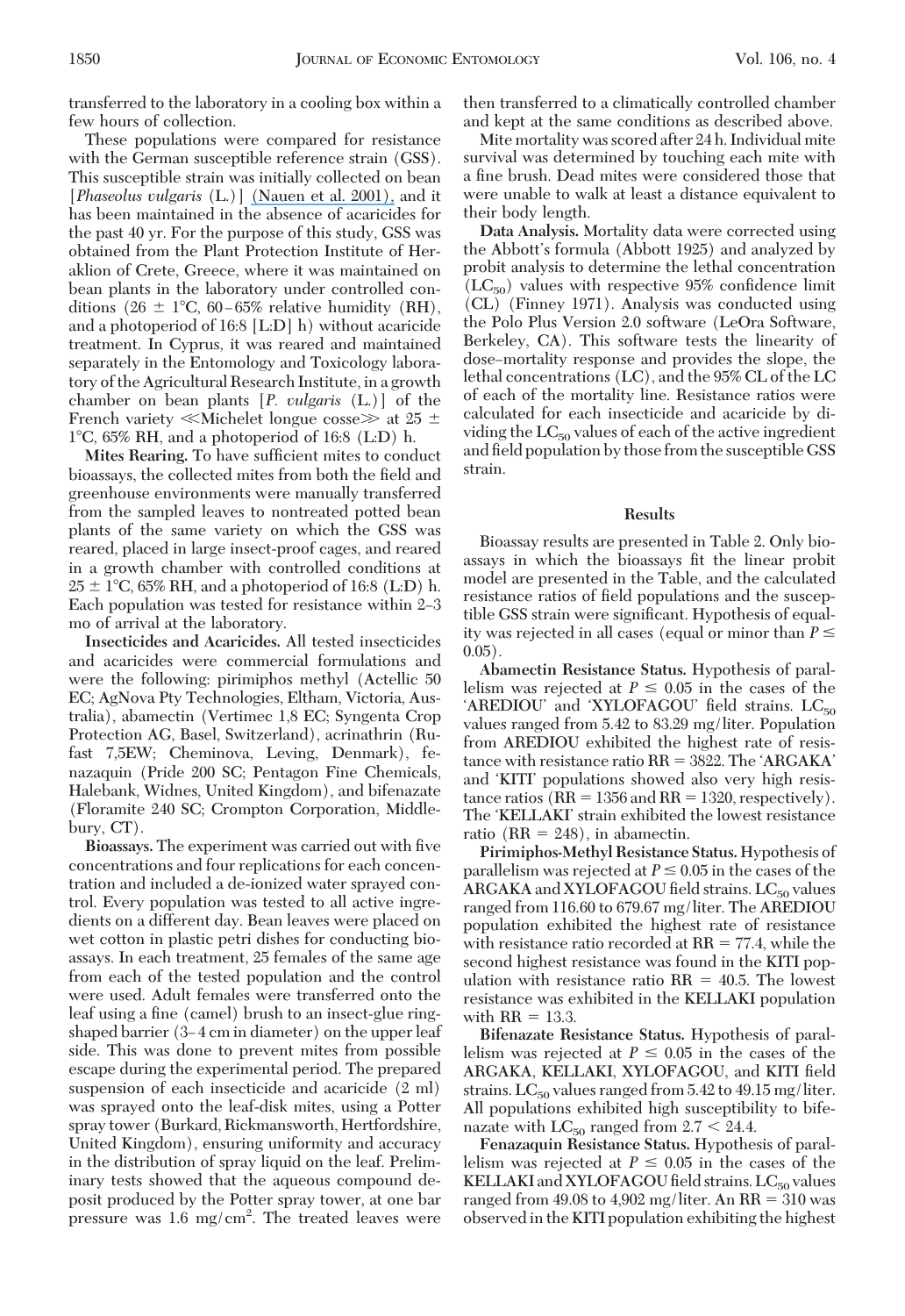transferred to the laboratory in a cooling box within a few hours of collection.

These populations were compared for resistance with the German susceptible reference strain *(GSS)*. This susceptible strain was initially collected on bean [*Phaseolus vulgaris* (L.)] [\(Nauen et al. 2001\),](https://www.researchgate.net/publication/11885532_Acaricide_toxicity_and_resistance_in_larvae_of_different_strains_of_Tetranychus_urticae_and_Panonychus_ulmi_Acari_Tetranychidae_Pest_Manag_Sci?el=1_x_8&enrichId=rgreq-f5c99a73-d917-4e1d-917d-539670bbadc0&enrichSource=Y292ZXJQYWdlOzI1NjQ4ODM2NztBUzo5NzY3Nzc4NjIyMjYwMkAxNDAwMjk5NjA3ODUy) and it has been maintained in the absence of acaricides for the past 40 yr. For the purpose of this study, GSS was obtained from the Plant Protection Institute of Heraklion of Crete, Greece, where it was maintained on bean plants in the laboratory under controlled conditions (26  $\pm$  1°C, 60–65% relative humidity (RH), and a photoperiod of 16:8 [L:D] h) without acaricide treatment. In Cyprus, it was reared and maintained separately in the Entomology and Toxicology laboratory of the Agricultural Research Institute, in a growth chamber on bean plants [*P. vulgaris* (L.)] of the French variety  $\ll$ Michelet longue cosse $\gg$  at 25  $\pm$  $1^{\circ}$ C, 65% RH, and a photoperiod of 16:8 (L:D) h.

**Mites Rearing.** To have sufficient mites to conduct bioassays, the collected mites from both the field and greenhouse environments were manually transferred from the sampled leaves to nontreated potted bean plants of the same variety on which the GSS was reared, placed in large insect-proof cages, and reared in a growth chamber with controlled conditions at  $25 \pm 1^{\circ}$ C, 65% RH, and a photoperiod of 16:8 (L:D) h. Each population was tested for resistance within 2–3 mo of arrival at the laboratory.

**Insecticides and Acaricides.** All tested insecticides and acaricides were commercial formulations and were the following: pirimiphos methyl (Actellic 50 EC; AgNova Pty Technologies, Eltham, Victoria, Australia), abamectin (Vertimec 1,8 EC; Syngenta Crop Protection AG, Basel, Switzerland), acrinathrin (Rufast 7,5EW; Cheminova, Leving, Denmark), fenazaquin (Pride 200 SC; Pentagon Fine Chemicals, Halebank, Widnes, United Kingdom), and bifenazate (Floramite 240 SC; Crompton Corporation, Middlebury, CT).

Bioassays. The experiment was carried out with five concentrations and four replications for each concentration and included a de-ionized water sprayed control. Every population was tested to all active ingredients on a different day. Bean leaves were placed on wet cotton in plastic petri dishes for conducting bioassays. In each treatment, 25 females of the same age from each of the tested population and the control were used. Adult females were transferred onto the leaf using a fine (camel) brush to an insect-glue ringshaped barrier  $(3-4 \text{ cm})$  in diameter) on the upper leaf side. This was done to prevent mites from possible escape during the experimental period. The prepared suspension of each insecticide and acaricide (2 ml) was sprayed onto the leaf-disk mites, using a Potter spray tower (Burkard, Rickmansworth, Hertfordshire, United Kingdom), ensuring uniformity and accuracy in the distribution of spray liquid on the leaf. Preliminary tests showed that the aqueous compound deposit produced by the Potter spray tower, at one bar pressure was 1.6 mg/cm<sup>2</sup>. The treated leaves were

then transferred to a climatically controlled chamber and kept at the same conditions as described above.

Mite mortality was scored after 24 h. Individual mite survival was determined by touching each mite with a fine brush. Dead mites were considered those that were unable to walk at least a distance equivalent to their body length.

**Data Analysis.** Mortality data were corrected using the Abbott's formula (Abbott 1925) and analyzed by probit analysis to determine the lethal concentration  $(LC_{50})$  values with respective 95% confidence limit (CL) (Finney 1971). Analysis was conducted using the Polo Plus Version 2.0 software (LeOra Software, Berkeley, CA). This software tests the linearity of dose–mortality response and provides the slope, the lethal concentrations (LC), and the 95% CL of the LC of each of the mortality line. Resistance ratios were calculated for each insecticide and acaricide by dividing the  $LC_{50}$  values of each of the active ingredient and field population by those from the susceptible GSS strain.

## **Results**

Bioassay results are presented in Table 2. Only bioassays in which the bioassays fit the linear probit model are presented in the Table, and the calculated resistance ratios of field populations and the susceptible GSS strain were significant. Hypothesis of equality was rejected in all cases (equal or minor than  $P \leq$  $0.05$ ).

**Abamectin Resistance Status.** Hypothesis of parallelism was rejected at  $P \leq 0.05$  in the cases of the 'AREDIOU' and 'XYLOFAGOU' field strains.  $LC_{50}$ values ranged from 5.42 to 83.29 mg/liter. Population from AREDIOU exhibited the highest rate of resistance with resistance ratio  $RR = 3822$ . The 'ARGAKA' and 'KITI' populations showed also very high resistance ratios ( $RR = 1356$  and  $RR = 1320$ , respectively). The 'KELLAKI' strain exhibited the lowest resistance ratio ( $RR = 248$ ), in abamectin.

**Pirimiphos-Methyl Resistance Status.** Hypothesis of parallelism was rejected at  $P \leq 0.05$  in the cases of the ARGAKA and XYLOFAGOU field strains.  $LC_{50}$  values ranged from 116.60 to 679.67 mg/liter. The AREDIOU population exhibited the highest rate of resistance with resistance ratio recorded at  $RR = 77.4$ , while the second highest resistance was found in the KITI population with resistance ratio  $RR = 40.5$ . The lowest resistance was exhibited in the KELLAKI population with  $RR = 13.3$ .

**Bifenazate Resistance Status.** Hypothesis of parallelism was rejected at  $P \leq 0.05$  in the cases of the ARGAKA, KELLAKI, XYLOFAGOU, and KITI field strains. LC<sub>50</sub> values ranged from 5.42 to 49.15 mg/liter. All populations exhibited high susceptibility to bifenazate with  $LC_{50}$  ranged from 2.7  $<$  24.4.

**Fenazaquin Resistance Status.** Hypothesis of parallelism was rejected at  $P \leq 0.05$  in the cases of the KELLAKI and XYLOFAGOU field strains.  $LC_{50}$  values ranged from 49.08 to 4,902 mg/liter. An  $RR = 310$  was observed in the KITI population exhibiting the highest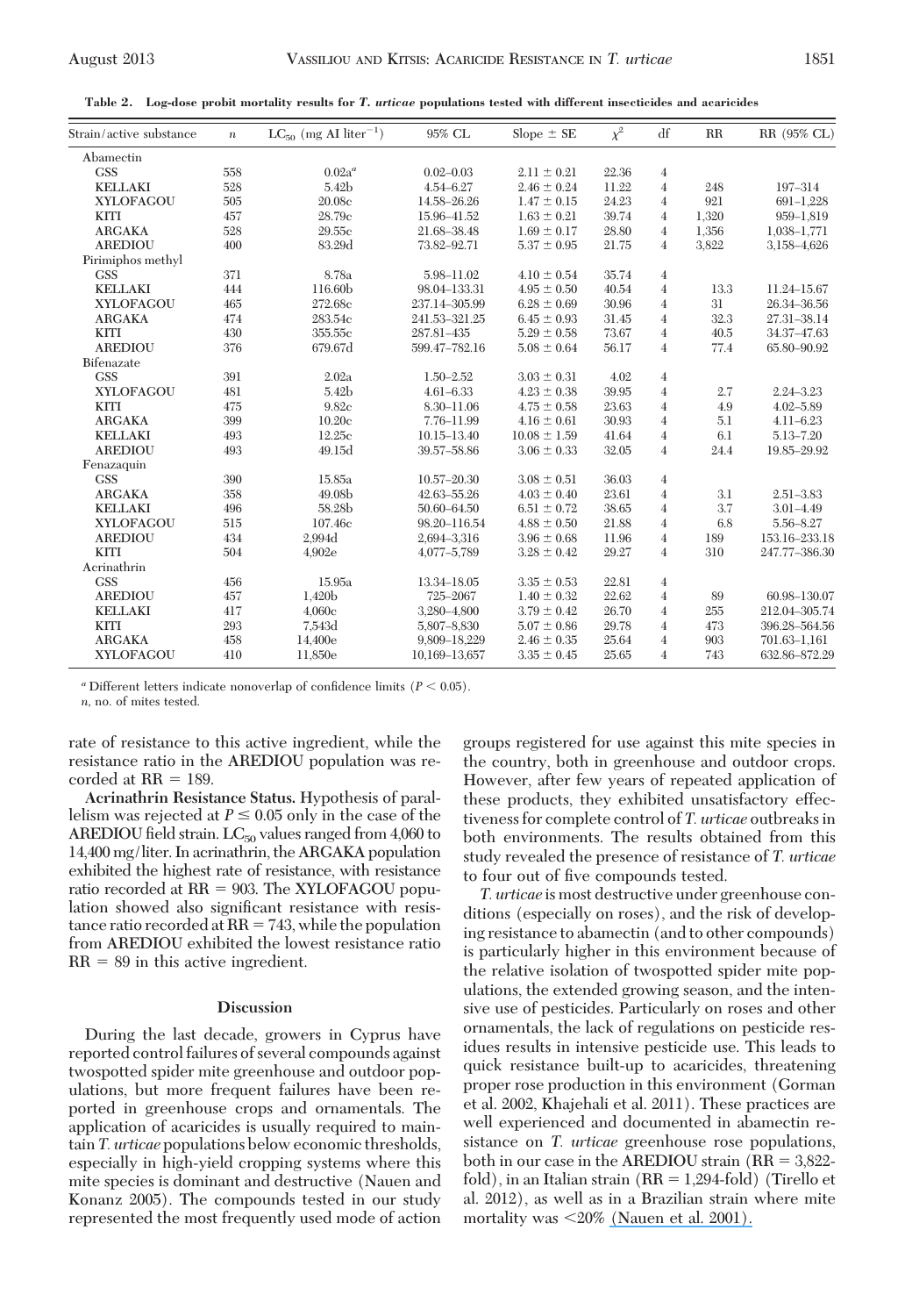**Table 2. Log-dose probit mortality results for** *T. urticae* **populations tested with different insecticides and acaricides**

| Abamectin<br><b>GSS</b><br>558<br>22.36<br>$0.02a^a$<br>$0.02 - 0.03$<br>$2.11 \pm 0.21$<br>4<br>528<br>5.42b<br>11.22<br><b>KELLAKI</b><br>4.54-6.27<br>$2.46 \pm 0.24$<br>$\overline{4}$<br>248<br>197-314<br><b>XYLOFAGOU</b><br>505<br>20.08c<br>24.23<br>921<br>14.58-26.26<br>$1.47 \pm 0.15$<br>$\overline{4}$<br>457<br>39.74<br>1,320<br><b>KITI</b><br>28.79c<br>15.96-41.52<br>$1.63 \pm 0.21$<br>$\overline{4}$<br><b>ARGAKA</b><br>528<br>29.55c<br>21.68-38.48<br>$1.69 \pm 0.17$<br>28.80<br>1,356<br>$\overline{4}$<br><b>AREDIOU</b><br>83.29d<br>21.75<br>400<br>$\overline{4}$<br>3,822<br>73.82-92.71<br>$5.37 \pm 0.95$<br>Pirimiphos methyl<br><b>GSS</b><br>8.78a<br>371<br>$4.10 \pm 0.54$<br>35.74<br>$\overline{4}$<br>5.98-11.02<br>116.60b<br><b>KELLAKI</b><br>444<br>98.04-133.31<br>$4.95 \pm 0.50$<br>40.54<br>13.3<br>$\overline{4}$<br>31<br><b>XYLOFAGOU</b><br>465<br>272.68c<br>237.14-305.99<br>$6.28 \pm 0.69$<br>30.96<br>$\overline{4}$<br>474<br>283.54c<br>31.45<br>32.3<br><b>ARGAKA</b><br>241.53-321.25<br>$6.45 \pm 0.93$<br>4<br><b>KITI</b><br>430<br>355.55c<br>73.67<br>$\overline{4}$<br>40.5<br>287.81-435<br>$5.29 \pm 0.58$<br><b>AREDIOU</b><br>376<br>679.67d<br>56.17<br>$\overline{4}$<br>77.4<br>599.47-782.16<br>$5.08 \pm 0.64$<br>Bifenazate<br><b>GSS</b><br>391<br>2.02a<br>$1.50 - 2.52$<br>4.02<br>$3.03 \pm 0.31$<br>4<br>5.42 <sub>b</sub><br><b>XYLOFAGOU</b><br>481<br>$4.61 - 6.33$<br>$4.23 \pm 0.38$<br>39.95<br>$\overline{4}$<br>2.7<br>$2.24 - 3.23$<br><b>KITI</b><br>475<br>$\overline{4}$<br>4.9<br>9.82c<br>23.63<br>$4.02 - 5.89$<br>8.30-11.06<br>$4.75 \pm 0.58$<br>5.1<br><b>ARGAKA</b><br>399<br>10.20c<br>7.76-11.99<br>$4.16 \pm 0.61$<br>30.93<br>$\overline{4}$<br>$4.11 - 6.23$<br>6.1<br><b>KELLAKI</b><br>493<br>12.25c<br>$10.15 - 13.40$<br>$10.08 \pm 1.59$<br>41.64<br>$\overline{4}$<br>$5.13 - 7.20$<br><b>AREDIOU</b><br>493<br>49.15d<br>39.57-58.86<br>$3.06 \pm 0.33$<br>32.05<br>$\overline{4}$<br>24.4<br>Fenazaquin<br><b>GSS</b><br>390<br>15.85a<br>36.03<br>$\overline{4}$<br>10.57-20.30<br>$3.08 \pm 0.51$<br><b>ARGAKA</b><br>49.08b<br>358<br>42.63-55.26<br>$4.03 \pm 0.40$<br>23.61<br>$\overline{4}$<br>3.1<br>$2.51 - 3.83$<br>3.7<br><b>KELLAKI</b><br>496<br>58.28b<br>50.60-64.50<br>$6.51 \pm 0.72$<br>38.65<br>$3.01 - 4.49$<br>$\overline{4}$<br><b>XYLOFAGOU</b><br>515<br>107.46c<br>21.88<br>6.8<br>5.56-8.27<br>98.20-116.54<br>$4.88 \pm 0.50$<br>$\overline{4}$<br><b>AREDIOU</b><br>434<br>2,994d<br>11.96<br>189<br>2,694-3,316<br>$3.96 \pm 0.68$<br>$\overline{4}$<br><b>KITI</b><br>504<br>29.27<br>310<br>4,902e<br>4,077-5,789<br>$3.28 \pm 0.42$<br>$\overline{4}$<br>Acrinathrin<br><b>GSS</b><br>22.81<br>456<br>15.95a<br>13.34-18.05<br>$3.35 \pm 0.53$<br>$\overline{4}$<br><b>AREDIOU</b><br>457<br>22.62<br>1.420b<br>725-2067<br>$1.40 \pm 0.32$<br>$\overline{4}$<br>89<br>26.70<br><b>KELLAKI</b><br>417<br>4,060c<br>3,280-4,800<br>$3.79 \pm 0.42$<br>$\overline{4}$<br>255<br><b>KITI</b><br>293<br>29.78<br>473<br>7,543d<br>$5.07 \pm 0.86$<br>$\overline{4}$<br>5,807-8,830<br><b>ARGAKA</b><br>458<br>9,809-18,229<br>$2.46 \pm 0.35$<br>25.64<br>$\overline{4}$<br>903<br>14,400e | Strain/active substance | $\boldsymbol{n}$ | $LC_{50}$ (mg AI liter <sup>-1</sup> ) | 95% CL        | Slope $\pm$ SE  | $\chi^2$ | df             | $\mathbb{R}$ | RR (95% CL)   |
|----------------------------------------------------------------------------------------------------------------------------------------------------------------------------------------------------------------------------------------------------------------------------------------------------------------------------------------------------------------------------------------------------------------------------------------------------------------------------------------------------------------------------------------------------------------------------------------------------------------------------------------------------------------------------------------------------------------------------------------------------------------------------------------------------------------------------------------------------------------------------------------------------------------------------------------------------------------------------------------------------------------------------------------------------------------------------------------------------------------------------------------------------------------------------------------------------------------------------------------------------------------------------------------------------------------------------------------------------------------------------------------------------------------------------------------------------------------------------------------------------------------------------------------------------------------------------------------------------------------------------------------------------------------------------------------------------------------------------------------------------------------------------------------------------------------------------------------------------------------------------------------------------------------------------------------------------------------------------------------------------------------------------------------------------------------------------------------------------------------------------------------------------------------------------------------------------------------------------------------------------------------------------------------------------------------------------------------------------------------------------------------------------------------------------------------------------------------------------------------------------------------------------------------------------------------------------------------------------------------------------------------------------------------------------------------------------------------------------------------------------------------------------------------------------------------------------------------------------------------------------------------------------------------------------------------------------------------------------------------------------------------------------------------------------------------------------------------------------------------------------------------------------------------------------------------------------------------------------------------------|-------------------------|------------------|----------------------------------------|---------------|-----------------|----------|----------------|--------------|---------------|
|                                                                                                                                                                                                                                                                                                                                                                                                                                                                                                                                                                                                                                                                                                                                                                                                                                                                                                                                                                                                                                                                                                                                                                                                                                                                                                                                                                                                                                                                                                                                                                                                                                                                                                                                                                                                                                                                                                                                                                                                                                                                                                                                                                                                                                                                                                                                                                                                                                                                                                                                                                                                                                                                                                                                                                                                                                                                                                                                                                                                                                                                                                                                                                                                                                              |                         |                  |                                        |               |                 |          |                |              |               |
|                                                                                                                                                                                                                                                                                                                                                                                                                                                                                                                                                                                                                                                                                                                                                                                                                                                                                                                                                                                                                                                                                                                                                                                                                                                                                                                                                                                                                                                                                                                                                                                                                                                                                                                                                                                                                                                                                                                                                                                                                                                                                                                                                                                                                                                                                                                                                                                                                                                                                                                                                                                                                                                                                                                                                                                                                                                                                                                                                                                                                                                                                                                                                                                                                                              |                         |                  |                                        |               |                 |          |                |              |               |
|                                                                                                                                                                                                                                                                                                                                                                                                                                                                                                                                                                                                                                                                                                                                                                                                                                                                                                                                                                                                                                                                                                                                                                                                                                                                                                                                                                                                                                                                                                                                                                                                                                                                                                                                                                                                                                                                                                                                                                                                                                                                                                                                                                                                                                                                                                                                                                                                                                                                                                                                                                                                                                                                                                                                                                                                                                                                                                                                                                                                                                                                                                                                                                                                                                              |                         |                  |                                        |               |                 |          |                |              |               |
|                                                                                                                                                                                                                                                                                                                                                                                                                                                                                                                                                                                                                                                                                                                                                                                                                                                                                                                                                                                                                                                                                                                                                                                                                                                                                                                                                                                                                                                                                                                                                                                                                                                                                                                                                                                                                                                                                                                                                                                                                                                                                                                                                                                                                                                                                                                                                                                                                                                                                                                                                                                                                                                                                                                                                                                                                                                                                                                                                                                                                                                                                                                                                                                                                                              |                         |                  |                                        |               |                 |          |                |              | 691-1,228     |
|                                                                                                                                                                                                                                                                                                                                                                                                                                                                                                                                                                                                                                                                                                                                                                                                                                                                                                                                                                                                                                                                                                                                                                                                                                                                                                                                                                                                                                                                                                                                                                                                                                                                                                                                                                                                                                                                                                                                                                                                                                                                                                                                                                                                                                                                                                                                                                                                                                                                                                                                                                                                                                                                                                                                                                                                                                                                                                                                                                                                                                                                                                                                                                                                                                              |                         |                  |                                        |               |                 |          |                |              | 959-1,819     |
|                                                                                                                                                                                                                                                                                                                                                                                                                                                                                                                                                                                                                                                                                                                                                                                                                                                                                                                                                                                                                                                                                                                                                                                                                                                                                                                                                                                                                                                                                                                                                                                                                                                                                                                                                                                                                                                                                                                                                                                                                                                                                                                                                                                                                                                                                                                                                                                                                                                                                                                                                                                                                                                                                                                                                                                                                                                                                                                                                                                                                                                                                                                                                                                                                                              |                         |                  |                                        |               |                 |          |                |              | 1,038-1,771   |
|                                                                                                                                                                                                                                                                                                                                                                                                                                                                                                                                                                                                                                                                                                                                                                                                                                                                                                                                                                                                                                                                                                                                                                                                                                                                                                                                                                                                                                                                                                                                                                                                                                                                                                                                                                                                                                                                                                                                                                                                                                                                                                                                                                                                                                                                                                                                                                                                                                                                                                                                                                                                                                                                                                                                                                                                                                                                                                                                                                                                                                                                                                                                                                                                                                              |                         |                  |                                        |               |                 |          |                |              | 3,158-4,626   |
|                                                                                                                                                                                                                                                                                                                                                                                                                                                                                                                                                                                                                                                                                                                                                                                                                                                                                                                                                                                                                                                                                                                                                                                                                                                                                                                                                                                                                                                                                                                                                                                                                                                                                                                                                                                                                                                                                                                                                                                                                                                                                                                                                                                                                                                                                                                                                                                                                                                                                                                                                                                                                                                                                                                                                                                                                                                                                                                                                                                                                                                                                                                                                                                                                                              |                         |                  |                                        |               |                 |          |                |              |               |
|                                                                                                                                                                                                                                                                                                                                                                                                                                                                                                                                                                                                                                                                                                                                                                                                                                                                                                                                                                                                                                                                                                                                                                                                                                                                                                                                                                                                                                                                                                                                                                                                                                                                                                                                                                                                                                                                                                                                                                                                                                                                                                                                                                                                                                                                                                                                                                                                                                                                                                                                                                                                                                                                                                                                                                                                                                                                                                                                                                                                                                                                                                                                                                                                                                              |                         |                  |                                        |               |                 |          |                |              |               |
|                                                                                                                                                                                                                                                                                                                                                                                                                                                                                                                                                                                                                                                                                                                                                                                                                                                                                                                                                                                                                                                                                                                                                                                                                                                                                                                                                                                                                                                                                                                                                                                                                                                                                                                                                                                                                                                                                                                                                                                                                                                                                                                                                                                                                                                                                                                                                                                                                                                                                                                                                                                                                                                                                                                                                                                                                                                                                                                                                                                                                                                                                                                                                                                                                                              |                         |                  |                                        |               |                 |          |                |              | 11.24-15.67   |
|                                                                                                                                                                                                                                                                                                                                                                                                                                                                                                                                                                                                                                                                                                                                                                                                                                                                                                                                                                                                                                                                                                                                                                                                                                                                                                                                                                                                                                                                                                                                                                                                                                                                                                                                                                                                                                                                                                                                                                                                                                                                                                                                                                                                                                                                                                                                                                                                                                                                                                                                                                                                                                                                                                                                                                                                                                                                                                                                                                                                                                                                                                                                                                                                                                              |                         |                  |                                        |               |                 |          |                |              | 26.34-36.56   |
|                                                                                                                                                                                                                                                                                                                                                                                                                                                                                                                                                                                                                                                                                                                                                                                                                                                                                                                                                                                                                                                                                                                                                                                                                                                                                                                                                                                                                                                                                                                                                                                                                                                                                                                                                                                                                                                                                                                                                                                                                                                                                                                                                                                                                                                                                                                                                                                                                                                                                                                                                                                                                                                                                                                                                                                                                                                                                                                                                                                                                                                                                                                                                                                                                                              |                         |                  |                                        |               |                 |          |                |              | 27.31-38.14   |
|                                                                                                                                                                                                                                                                                                                                                                                                                                                                                                                                                                                                                                                                                                                                                                                                                                                                                                                                                                                                                                                                                                                                                                                                                                                                                                                                                                                                                                                                                                                                                                                                                                                                                                                                                                                                                                                                                                                                                                                                                                                                                                                                                                                                                                                                                                                                                                                                                                                                                                                                                                                                                                                                                                                                                                                                                                                                                                                                                                                                                                                                                                                                                                                                                                              |                         |                  |                                        |               |                 |          |                |              | 34.37-47.63   |
|                                                                                                                                                                                                                                                                                                                                                                                                                                                                                                                                                                                                                                                                                                                                                                                                                                                                                                                                                                                                                                                                                                                                                                                                                                                                                                                                                                                                                                                                                                                                                                                                                                                                                                                                                                                                                                                                                                                                                                                                                                                                                                                                                                                                                                                                                                                                                                                                                                                                                                                                                                                                                                                                                                                                                                                                                                                                                                                                                                                                                                                                                                                                                                                                                                              |                         |                  |                                        |               |                 |          |                |              | 65.80-90.92   |
|                                                                                                                                                                                                                                                                                                                                                                                                                                                                                                                                                                                                                                                                                                                                                                                                                                                                                                                                                                                                                                                                                                                                                                                                                                                                                                                                                                                                                                                                                                                                                                                                                                                                                                                                                                                                                                                                                                                                                                                                                                                                                                                                                                                                                                                                                                                                                                                                                                                                                                                                                                                                                                                                                                                                                                                                                                                                                                                                                                                                                                                                                                                                                                                                                                              |                         |                  |                                        |               |                 |          |                |              |               |
|                                                                                                                                                                                                                                                                                                                                                                                                                                                                                                                                                                                                                                                                                                                                                                                                                                                                                                                                                                                                                                                                                                                                                                                                                                                                                                                                                                                                                                                                                                                                                                                                                                                                                                                                                                                                                                                                                                                                                                                                                                                                                                                                                                                                                                                                                                                                                                                                                                                                                                                                                                                                                                                                                                                                                                                                                                                                                                                                                                                                                                                                                                                                                                                                                                              |                         |                  |                                        |               |                 |          |                |              |               |
|                                                                                                                                                                                                                                                                                                                                                                                                                                                                                                                                                                                                                                                                                                                                                                                                                                                                                                                                                                                                                                                                                                                                                                                                                                                                                                                                                                                                                                                                                                                                                                                                                                                                                                                                                                                                                                                                                                                                                                                                                                                                                                                                                                                                                                                                                                                                                                                                                                                                                                                                                                                                                                                                                                                                                                                                                                                                                                                                                                                                                                                                                                                                                                                                                                              |                         |                  |                                        |               |                 |          |                |              |               |
|                                                                                                                                                                                                                                                                                                                                                                                                                                                                                                                                                                                                                                                                                                                                                                                                                                                                                                                                                                                                                                                                                                                                                                                                                                                                                                                                                                                                                                                                                                                                                                                                                                                                                                                                                                                                                                                                                                                                                                                                                                                                                                                                                                                                                                                                                                                                                                                                                                                                                                                                                                                                                                                                                                                                                                                                                                                                                                                                                                                                                                                                                                                                                                                                                                              |                         |                  |                                        |               |                 |          |                |              |               |
|                                                                                                                                                                                                                                                                                                                                                                                                                                                                                                                                                                                                                                                                                                                                                                                                                                                                                                                                                                                                                                                                                                                                                                                                                                                                                                                                                                                                                                                                                                                                                                                                                                                                                                                                                                                                                                                                                                                                                                                                                                                                                                                                                                                                                                                                                                                                                                                                                                                                                                                                                                                                                                                                                                                                                                                                                                                                                                                                                                                                                                                                                                                                                                                                                                              |                         |                  |                                        |               |                 |          |                |              |               |
|                                                                                                                                                                                                                                                                                                                                                                                                                                                                                                                                                                                                                                                                                                                                                                                                                                                                                                                                                                                                                                                                                                                                                                                                                                                                                                                                                                                                                                                                                                                                                                                                                                                                                                                                                                                                                                                                                                                                                                                                                                                                                                                                                                                                                                                                                                                                                                                                                                                                                                                                                                                                                                                                                                                                                                                                                                                                                                                                                                                                                                                                                                                                                                                                                                              |                         |                  |                                        |               |                 |          |                |              |               |
|                                                                                                                                                                                                                                                                                                                                                                                                                                                                                                                                                                                                                                                                                                                                                                                                                                                                                                                                                                                                                                                                                                                                                                                                                                                                                                                                                                                                                                                                                                                                                                                                                                                                                                                                                                                                                                                                                                                                                                                                                                                                                                                                                                                                                                                                                                                                                                                                                                                                                                                                                                                                                                                                                                                                                                                                                                                                                                                                                                                                                                                                                                                                                                                                                                              |                         |                  |                                        |               |                 |          |                |              | 19.85-29.92   |
|                                                                                                                                                                                                                                                                                                                                                                                                                                                                                                                                                                                                                                                                                                                                                                                                                                                                                                                                                                                                                                                                                                                                                                                                                                                                                                                                                                                                                                                                                                                                                                                                                                                                                                                                                                                                                                                                                                                                                                                                                                                                                                                                                                                                                                                                                                                                                                                                                                                                                                                                                                                                                                                                                                                                                                                                                                                                                                                                                                                                                                                                                                                                                                                                                                              |                         |                  |                                        |               |                 |          |                |              |               |
|                                                                                                                                                                                                                                                                                                                                                                                                                                                                                                                                                                                                                                                                                                                                                                                                                                                                                                                                                                                                                                                                                                                                                                                                                                                                                                                                                                                                                                                                                                                                                                                                                                                                                                                                                                                                                                                                                                                                                                                                                                                                                                                                                                                                                                                                                                                                                                                                                                                                                                                                                                                                                                                                                                                                                                                                                                                                                                                                                                                                                                                                                                                                                                                                                                              |                         |                  |                                        |               |                 |          |                |              |               |
|                                                                                                                                                                                                                                                                                                                                                                                                                                                                                                                                                                                                                                                                                                                                                                                                                                                                                                                                                                                                                                                                                                                                                                                                                                                                                                                                                                                                                                                                                                                                                                                                                                                                                                                                                                                                                                                                                                                                                                                                                                                                                                                                                                                                                                                                                                                                                                                                                                                                                                                                                                                                                                                                                                                                                                                                                                                                                                                                                                                                                                                                                                                                                                                                                                              |                         |                  |                                        |               |                 |          |                |              |               |
|                                                                                                                                                                                                                                                                                                                                                                                                                                                                                                                                                                                                                                                                                                                                                                                                                                                                                                                                                                                                                                                                                                                                                                                                                                                                                                                                                                                                                                                                                                                                                                                                                                                                                                                                                                                                                                                                                                                                                                                                                                                                                                                                                                                                                                                                                                                                                                                                                                                                                                                                                                                                                                                                                                                                                                                                                                                                                                                                                                                                                                                                                                                                                                                                                                              |                         |                  |                                        |               |                 |          |                |              |               |
|                                                                                                                                                                                                                                                                                                                                                                                                                                                                                                                                                                                                                                                                                                                                                                                                                                                                                                                                                                                                                                                                                                                                                                                                                                                                                                                                                                                                                                                                                                                                                                                                                                                                                                                                                                                                                                                                                                                                                                                                                                                                                                                                                                                                                                                                                                                                                                                                                                                                                                                                                                                                                                                                                                                                                                                                                                                                                                                                                                                                                                                                                                                                                                                                                                              |                         |                  |                                        |               |                 |          |                |              |               |
|                                                                                                                                                                                                                                                                                                                                                                                                                                                                                                                                                                                                                                                                                                                                                                                                                                                                                                                                                                                                                                                                                                                                                                                                                                                                                                                                                                                                                                                                                                                                                                                                                                                                                                                                                                                                                                                                                                                                                                                                                                                                                                                                                                                                                                                                                                                                                                                                                                                                                                                                                                                                                                                                                                                                                                                                                                                                                                                                                                                                                                                                                                                                                                                                                                              |                         |                  |                                        |               |                 |          |                |              | 153.16-233.18 |
|                                                                                                                                                                                                                                                                                                                                                                                                                                                                                                                                                                                                                                                                                                                                                                                                                                                                                                                                                                                                                                                                                                                                                                                                                                                                                                                                                                                                                                                                                                                                                                                                                                                                                                                                                                                                                                                                                                                                                                                                                                                                                                                                                                                                                                                                                                                                                                                                                                                                                                                                                                                                                                                                                                                                                                                                                                                                                                                                                                                                                                                                                                                                                                                                                                              |                         |                  |                                        |               |                 |          |                |              | 247.77-386.30 |
|                                                                                                                                                                                                                                                                                                                                                                                                                                                                                                                                                                                                                                                                                                                                                                                                                                                                                                                                                                                                                                                                                                                                                                                                                                                                                                                                                                                                                                                                                                                                                                                                                                                                                                                                                                                                                                                                                                                                                                                                                                                                                                                                                                                                                                                                                                                                                                                                                                                                                                                                                                                                                                                                                                                                                                                                                                                                                                                                                                                                                                                                                                                                                                                                                                              |                         |                  |                                        |               |                 |          |                |              |               |
|                                                                                                                                                                                                                                                                                                                                                                                                                                                                                                                                                                                                                                                                                                                                                                                                                                                                                                                                                                                                                                                                                                                                                                                                                                                                                                                                                                                                                                                                                                                                                                                                                                                                                                                                                                                                                                                                                                                                                                                                                                                                                                                                                                                                                                                                                                                                                                                                                                                                                                                                                                                                                                                                                                                                                                                                                                                                                                                                                                                                                                                                                                                                                                                                                                              |                         |                  |                                        |               |                 |          |                |              |               |
|                                                                                                                                                                                                                                                                                                                                                                                                                                                                                                                                                                                                                                                                                                                                                                                                                                                                                                                                                                                                                                                                                                                                                                                                                                                                                                                                                                                                                                                                                                                                                                                                                                                                                                                                                                                                                                                                                                                                                                                                                                                                                                                                                                                                                                                                                                                                                                                                                                                                                                                                                                                                                                                                                                                                                                                                                                                                                                                                                                                                                                                                                                                                                                                                                                              |                         |                  |                                        |               |                 |          |                |              | 60.98-130.07  |
|                                                                                                                                                                                                                                                                                                                                                                                                                                                                                                                                                                                                                                                                                                                                                                                                                                                                                                                                                                                                                                                                                                                                                                                                                                                                                                                                                                                                                                                                                                                                                                                                                                                                                                                                                                                                                                                                                                                                                                                                                                                                                                                                                                                                                                                                                                                                                                                                                                                                                                                                                                                                                                                                                                                                                                                                                                                                                                                                                                                                                                                                                                                                                                                                                                              |                         |                  |                                        |               |                 |          |                |              | 212.04-305.74 |
|                                                                                                                                                                                                                                                                                                                                                                                                                                                                                                                                                                                                                                                                                                                                                                                                                                                                                                                                                                                                                                                                                                                                                                                                                                                                                                                                                                                                                                                                                                                                                                                                                                                                                                                                                                                                                                                                                                                                                                                                                                                                                                                                                                                                                                                                                                                                                                                                                                                                                                                                                                                                                                                                                                                                                                                                                                                                                                                                                                                                                                                                                                                                                                                                                                              |                         |                  |                                        |               |                 |          |                |              | 396.28-564.56 |
|                                                                                                                                                                                                                                                                                                                                                                                                                                                                                                                                                                                                                                                                                                                                                                                                                                                                                                                                                                                                                                                                                                                                                                                                                                                                                                                                                                                                                                                                                                                                                                                                                                                                                                                                                                                                                                                                                                                                                                                                                                                                                                                                                                                                                                                                                                                                                                                                                                                                                                                                                                                                                                                                                                                                                                                                                                                                                                                                                                                                                                                                                                                                                                                                                                              |                         |                  |                                        |               |                 |          |                |              | 701.63-1.161  |
|                                                                                                                                                                                                                                                                                                                                                                                                                                                                                                                                                                                                                                                                                                                                                                                                                                                                                                                                                                                                                                                                                                                                                                                                                                                                                                                                                                                                                                                                                                                                                                                                                                                                                                                                                                                                                                                                                                                                                                                                                                                                                                                                                                                                                                                                                                                                                                                                                                                                                                                                                                                                                                                                                                                                                                                                                                                                                                                                                                                                                                                                                                                                                                                                                                              | <b>XYLOFAGOU</b>        | 410              | 11,850e                                | 10,169-13,657 | $3.35 \pm 0.45$ | 25.65    | $\overline{4}$ | 743          | 632.86-872.29 |

*a* Different letters indicate nonoverlap of confidence limits ( $P < 0.05$ ).

*n,* no. of mites tested.

rate of resistance to this active ingredient, while the resistance ratio in the AREDIOU population was recorded at  $RR = 189$ .

**Acrinathrin Resistance Status.** Hypothesis of parallelism was rejected at  $P \leq 0.05$  only in the case of the AREDIOU field strain.  $LC_{50}$  values ranged from 4,060 to 14,400 mg/liter. In acrinathrin, the ARGAKA population exhibited the highest rate of resistance, with resistance ratio recorded at  $RR = 903$ . The XYLOFAGOU population showed also significant resistance with resistance ratio recorded at  $RR = 743$ , while the population from AREDIOU exhibited the lowest resistance ratio  $RR = 89$  in this active ingredient.

### **Discussion**

During the last decade, growers in Cyprus have reported control failures of several compounds against twospotted spider mite greenhouse and outdoor populations, but more frequent failures have been reported in greenhouse crops and ornamentals. The application of acaricides is usually required to maintain *T. urticae* populations below economic thresholds, especially in high-yield cropping systems where this mite species is dominant and destructive (Nauen and Konanz 2005). The compounds tested in our study represented the most frequently used mode of action

groups registered for use against this mite species in the country, both in greenhouse and outdoor crops. However, after few years of repeated application of these products, they exhibited unsatisfactory effectiveness for complete control of *T. urticae* outbreaks in both environments. The results obtained from this study revealed the presence of resistance of *T. urticae* to four out of five compounds tested.

*T. urticae* is most destructive under greenhouse conditions (especially on roses), and the risk of developing resistance to abamectin (and to other compounds) is particularly higher in this environment because of the relative isolation of twospotted spider mite populations, the extended growing season, and the intensive use of pesticides. Particularly on roses and other ornamentals, the lack of regulations on pesticide residues results in intensive pesticide use. This leads to quick resistance built-up to acaricides, threatening proper rose production in this environment (Gorman et al. 2002, Khajehali et al. 2011). These practices are well experienced and documented in abamectin resistance on *T. urticae* greenhouse rose populations, both in our case in the AREDIOU strain  $(RR = 3.822$ fold), in an Italian strain  $(RR = 1,294$ -fold) (Tirello et al. 2012), as well as in a Brazilian strain where mite mortality was <20% [\(Nauen et al. 2001\).](https://www.researchgate.net/publication/11885532_Acaricide_toxicity_and_resistance_in_larvae_of_different_strains_of_Tetranychus_urticae_and_Panonychus_ulmi_Acari_Tetranychidae_Pest_Manag_Sci?el=1_x_8&enrichId=rgreq-f5c99a73-d917-4e1d-917d-539670bbadc0&enrichSource=Y292ZXJQYWdlOzI1NjQ4ODM2NztBUzo5NzY3Nzc4NjIyMjYwMkAxNDAwMjk5NjA3ODUy)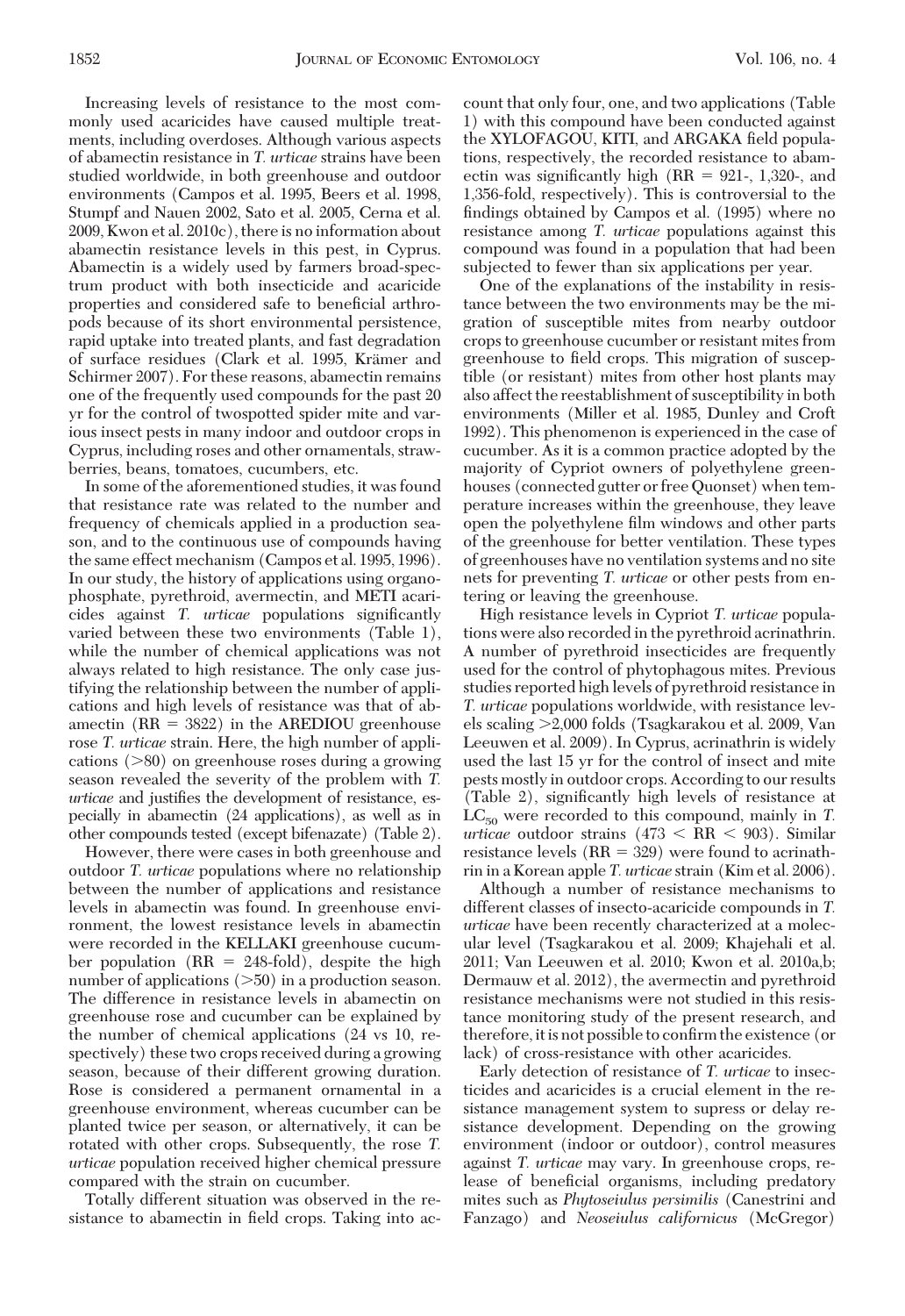Increasing levels of resistance to the most commonly used acaricides have caused multiple treatments, including overdoses. Although various aspects of abamectin resistance in *T. urticae* strains have been studied worldwide, in both greenhouse and outdoor environments (Campos et al. 1995, Beers et al. 1998, Stumpf and Nauen 2002, Sato et al. 2005, Cerna et al. 2009, Kwon et al. 2010c), there is no information about abamectin resistance levels in this pest, in Cyprus. Abamectin is a widely used by farmers broad-spectrum product with both insecticide and acaricide properties and considered safe to beneficial arthropods because of its short environmental persistence, rapid uptake into treated plants, and fast degradation of surface residues (Clark et al. 1995, Krämer and Schirmer 2007). For these reasons, abamectin remains one of the frequently used compounds for the past 20 yr for the control of twospotted spider mite and various insect pests in many indoor and outdoor crops in Cyprus, including roses and other ornamentals, strawberries, beans, tomatoes, cucumbers, etc.

In some of the aforementioned studies, it was found that resistance rate was related to the number and frequency of chemicals applied in a production season, and to the continuous use of compounds having the same effect mechanism (Campos et al. 1995, 1996). In our study, the history of applications using organophosphate, pyrethroid, avermectin, and METI acaricides against *T. urticae* populations significantly varied between these two environments (Table 1), while the number of chemical applications was not always related to high resistance. The only case justifying the relationship between the number of applications and high levels of resistance was that of abamectin  $(RR = 3822)$  in the AREDIOU greenhouse rose *T. urticae* strain. Here, the high number of applications  $(80)$  on greenhouse roses during a growing season revealed the severity of the problem with *T. urticae* and justifies the development of resistance, especially in abamectin (24 applications), as well as in other compounds tested (except bifenazate) (Table 2).

However, there were cases in both greenhouse and outdoor *T. urticae* populations where no relationship between the number of applications and resistance levels in abamectin was found. In greenhouse environment, the lowest resistance levels in abamectin were recorded in the KELLAKI greenhouse cucumber population (RR = 248-fold), despite the high number of applications  $($ >50) in a production season. The difference in resistance levels in abamectin on greenhouse rose and cucumber can be explained by the number of chemical applications (24 vs 10, respectively) these two crops received during a growing season, because of their different growing duration. Rose is considered a permanent ornamental in a greenhouse environment, whereas cucumber can be planted twice per season, or alternatively, it can be rotated with other crops. Subsequently, the rose *T. urticae* population received higher chemical pressure compared with the strain on cucumber.

Totally different situation was observed in the resistance to abamectin in field crops. Taking into account that only four, one, and two applications (Table 1) with this compound have been conducted against the XYLOFAGOU, KITI, and ARGAKA field populations, respectively, the recorded resistance to abamectin was significantly high ( $RR = 921$ -, 1,320-, and 1,356-fold, respectively). This is controversial to the findings obtained by Campos et al. (1995) where no resistance among *T. urticae* populations against this compound was found in a population that had been subjected to fewer than six applications per year.

One of the explanations of the instability in resistance between the two environments may be the migration of susceptible mites from nearby outdoor crops to greenhouse cucumber or resistant mites from greenhouse to field crops. This migration of susceptible (or resistant) mites from other host plants may also affect the reestablishment of susceptibility in both environments (Miller et al. 1985, Dunley and Croft 1992). This phenomenon is experienced in the case of cucumber. As it is a common practice adopted by the majority of Cypriot owners of polyethylene greenhouses (connected gutter or free Quonset) when temperature increases within the greenhouse, they leave open the polyethylene film windows and other parts of the greenhouse for better ventilation. These types of greenhouses have no ventilation systems and no site nets for preventing *T. urticae* or other pests from entering or leaving the greenhouse.

High resistance levels in Cypriot *T. urticae* populations were also recorded in the pyrethroid acrinathrin. A number of pyrethroid insecticides are frequently used for the control of phytophagous mites. Previous studies reported high levels of pyrethroid resistance in *T. urticae* populations worldwide, with resistance levels scaling 2,000 folds (Tsagkarakou et al. 2009, Van Leeuwen et al. 2009). In Cyprus, acrinathrin is widely used the last 15 yr for the control of insect and mite pests mostly in outdoor crops. According to our results (Table 2), significantly high levels of resistance at  $LC_{50}$  were recorded to this compound, mainly in *T*.  $urticae$  outdoor strains  $(473 \le RR \le 903)$ . Similar resistance levels  $(RR = 329)$  were found to acrinathrin in a Korean apple *T. urticae* strain (Kim et al. 2006).

Although a number of resistance mechanisms to different classes of insecto-acaricide compounds in *T. urticae* have been recently characterized at a molecular level (Tsagkarakou et al. 2009; Khajehali et al. 2011; Van Leeuwen et al. 2010; Kwon et al. 2010a,b; Dermauw et al. 2012), the avermectin and pyrethroid resistance mechanisms were not studied in this resistance monitoring study of the present research, and therefore, it is not possible to confirm the existence (or lack) of cross-resistance with other acaricides.

Early detection of resistance of *T. urticae* to insecticides and acaricides is a crucial element in the resistance management system to supress or delay resistance development. Depending on the growing environment (indoor or outdoor), control measures against *T. urticae* may vary. In greenhouse crops, release of beneficial organisms, including predatory mites such as *Phytoseiulus persimilis* (Canestrini and Fanzago) and *Neoseiulus californicus* (McGregor)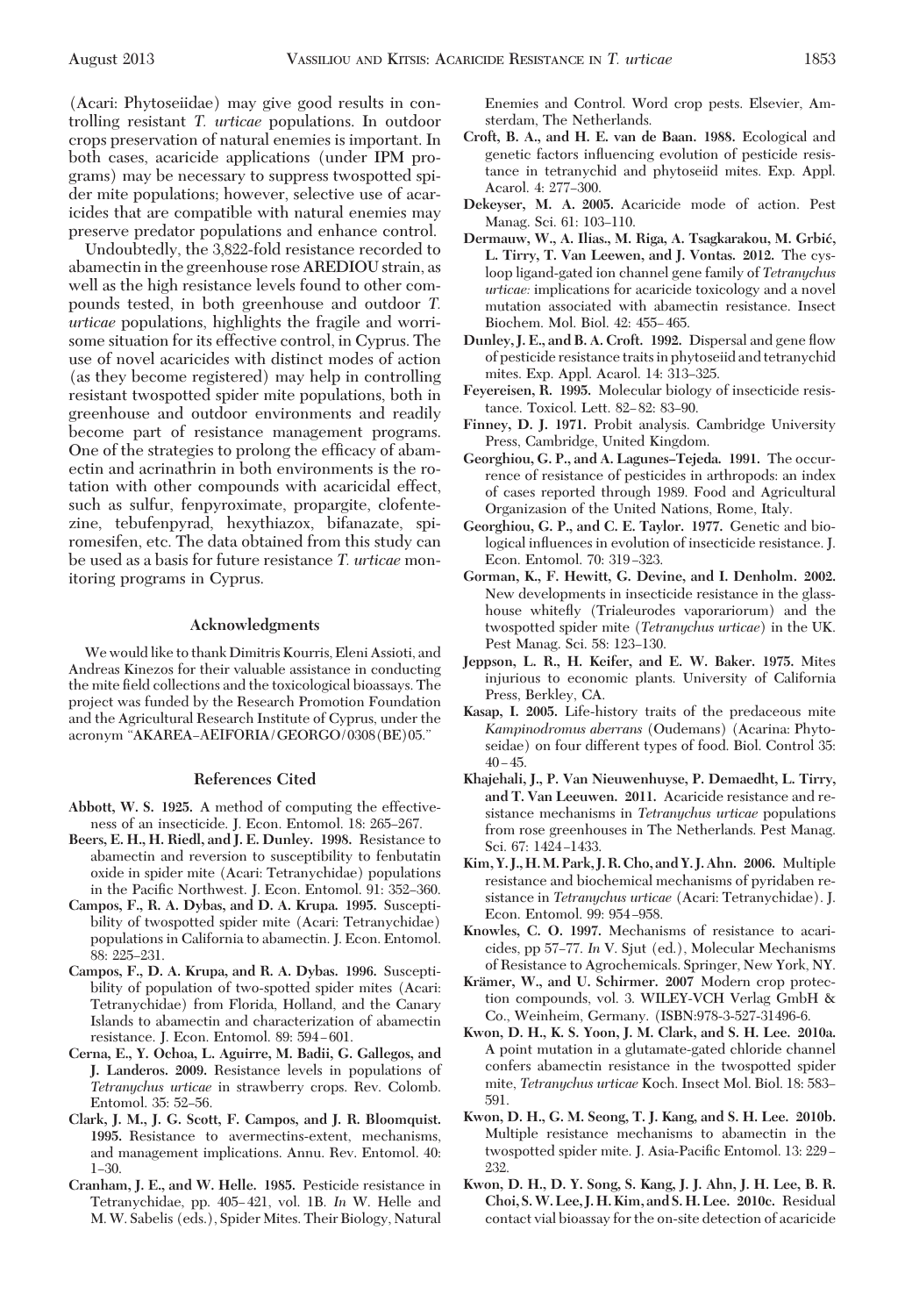(Acari: Phytoseiidae) may give good results in controlling resistant *T. urticae* populations. In outdoor crops preservation of natural enemies is important. In both cases, acaricide applications (under IPM programs) may be necessary to suppress twospotted spider mite populations; however, selective use of acaricides that are compatible with natural enemies may preserve predator populations and enhance control.

Undoubtedly, the 3,822-fold resistance recorded to abamectin in the greenhouse rose AREDIOU strain, as well as the high resistance levels found to other compounds tested, in both greenhouse and outdoor *T. urticae* populations, highlights the fragile and worrisome situation for its effective control, in Cyprus. The use of novel acaricides with distinct modes of action (as they become registered) may help in controlling resistant twospotted spider mite populations, both in greenhouse and outdoor environments and readily become part of resistance management programs. One of the strategies to prolong the efficacy of abamectin and acrinathrin in both environments is the rotation with other compounds with acaricidal effect, such as sulfur, fenpyroximate, propargite, clofentezine, tebufenpyrad, hexythiazox, bifanazate, spiromesifen, etc. The data obtained from this study can be used as a basis for future resistance *T. urticae* monitoring programs in Cyprus.

#### **Acknowledgments**

We would like to thank Dimitris Kourris, Eleni Assioti, and Andreas Kinezos for their valuable assistance in conducting the mite field collections and the toxicological bioassays. The project was funded by the Research Promotion Foundation and the Agricultural Research Institute of Cyprus, under the acronym "AKAREA–AEIFORIA/GEORGO/0308(BE)05."

### **References Cited**

- **Abbott, W. S. 1925.** A method of computing the effectiveness of an insecticide. J. Econ. Entomol. 18: 265-267.
- **Beers, E. H., H. Riedl, and J. E. Dunley. 1998.** Resistance to abamectin and reversion to susceptibility to fenbutatin oxide in spider mite (Acari: Tetranychidae) populations in the Pacific Northwest. J. Econ. Entomol. 91: 352-360.
- **Campos, F., R. A. Dybas, and D. A. Krupa. 1995.** Susceptibility of twospotted spider mite (Acari: Tetranychidae) populations in California to abamectin. J. Econ. Entomol. 88: 225-231.
- **Campos, F., D. A. Krupa, and R. A. Dybas. 1996.** Susceptibility of population of two-spotted spider mites (Acari: Tetranychidae) from Florida, Holland, and the Canary Islands to abamectin and characterization of abamectin resistance. J. Econ. Entomol. 89: 594-601.
- **Cerna, E., Y. Ochoa, L. Aguirre, M. Badii, G. Gallegos, and J. Landeros. 2009.** Resistance levels in populations of *Tetranychus urticae* in strawberry crops. Rev. Colomb. Entomol. 35: 52-56.
- **Clark, J. M., J. G. Scott, F. Campos, and J. R. Bloomquist. 1995.** Resistance to avermectins-extent, mechanisms, and management implications. Annu. Rev. Entomol. 40:  $1 - 30.$
- **Cranham, J. E., and W. Helle. 1985.** Pesticide resistance in Tetranychidae, pp. 405–421, vol. 1B. *In* W. Helle and M.W. Sabelis (eds.), Spider Mites. Their Biology, Natural

Enemies and Control. Word crop pests. Elsevier, Amsterdam, The Netherlands.

- **Croft, B. A., and H. E. van de Baan. 1988.** Ecological and genetic factors inßuencing evolution of pesticide resistance in tetranychid and phytoseiid mites. Exp. Appl. Acarol. 4: 277-300.
- **Dekeyser, M. A. 2005.** Acaricide mode of action. Pest Manag. Sci. 61: 103-110.
- **Dermauw, W., A. Ilias., M. Riga, A. Tsagkarakou, M. Grbic´, L. Tirry, T. Van Leewen, and J. Vontas. 2012.** The cysloop ligand-gated ion channel gene family of *Tetranychus urticae:* implications for acaricide toxicology and a novel mutation associated with abamectin resistance. Insect Biochem. Mol. Biol. 42: 455-465.
- **Dunley, J. E., and B. A. Croft. 1992.** Dispersal and gene ßow of pesticide resistance traits in phytoseiid and tetranychid mites. Exp. Appl. Acarol. 14: 313-325.
- **Feyereisen, R. 1995.** Molecular biology of insecticide resistance. Toxicol. Lett. 82-82: 83-90.
- **Finney, D. J. 1971.** Probit analysis. Cambridge University Press, Cambridge, United Kingdom.
- **Georghiou, G. P., and A. Lagunes–Tejeda. 1991.** The occurrence of resistance of pesticides in arthropods: an index of cases reported through 1989. Food and Agricultural Organizasion of the United Nations, Rome, Italy.
- **Georghiou, G. P., and C. E. Taylor. 1977.** Genetic and biological influences in evolution of insecticide resistance. J. Econ. Entomol. 70: 319-323.
- **Gorman, K., F. Hewitt, G. Devine, and I. Denholm. 2002.** New developments in insecticide resistance in the glasshouse whiteßy (Trialeurodes vaporariorum) and the twospotted spider mite (*Tetranychus urticae*) in the UK. Pest Manag. Sci. 58: 123-130.
- **Jeppson, L. R., H. Keifer, and E. W. Baker. 1975.** Mites injurious to economic plants. University of California Press, Berkley, CA.
- **Kasap, I. 2005.** Life-history traits of the predaceous mite *Kampinodromus aberrans* (Oudemans) (Acarina: Phytoseidae) on four different types of food. Biol. Control 35:  $40 - 45.$
- **Khajehali, J., P. Van Nieuwenhuyse, P. Demaedht, L. Tirry, and T. Van Leeuwen. 2011.** Acaricide resistance and resistance mechanisms in *Tetranychus urticae* populations from rose greenhouses in The Netherlands. Pest Manag. Sci. 67: 1424-1433.
- **Kim, Y. J., H.M. Park, J. R. Cho, and Y. J. Ahn. 2006.** Multiple resistance and biochemical mechanisms of pyridaben resistance in *Tetranychus urticae* (Acari: Tetranychidae). J. Econ. Entomol. 99: 954-958.
- **Knowles, C. O. 1997.** Mechanisms of resistance to acaricides, pp 57-77. *In* V. Sjut (ed.), Molecular Mechanisms of Resistance to Agrochemicals. Springer, New York, NY.
- Krämer, W., and U. Schirmer. 2007 Modern crop protection compounds, vol. 3. WILEY-VCH Verlag GmbH & Co., Weinheim, Germany. (ISBN:978-3-527-31496-6.
- **Kwon, D. H., K. S. Yoon, J. M. Clark, and S. H. Lee. 2010a.** A point mutation in a glutamate-gated chloride channel confers abamectin resistance in the twospotted spider mite, *Tetranychus urticae* Koch. Insect Mol. Biol. 18: 583-591.
- **Kwon, D. H., G. M. Seong, T. J. Kang, and S. H. Lee. 2010b.** Multiple resistance mechanisms to abamectin in the twospotted spider mite. J. Asia-Pacific Entomol. 13: 229-232.
- **Kwon, D. H., D. Y. Song, S. Kang, J. J. Ahn, J. H. Lee, B. R. Choi, S.W. Lee, J. H. Kim, and S. H. Lee. 2010c.** Residual contact vial bioassay for the on-site detection of acaricide